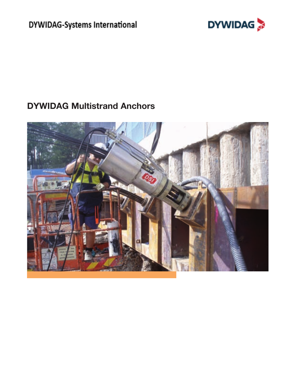DYWIDAG-Systems International



# **DYWIDAG Multistrand Anchors**

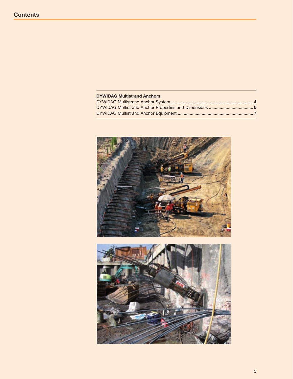## **DYWIDAG Multistrand Anchors**

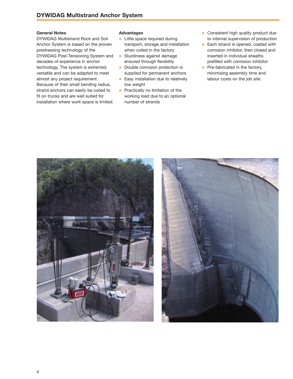#### **General Notes**

DYWIDAG Multistrand Rock and Soil Anchor System is based on the proven prestressing technology of the DYWIDAG Post-Tensioning System and decades of experience in anchor technology. The system is extremely versatile and can be adapted to meet almost any project requirement. Because of their small bending radius, strand anchors can easily be coiled to fit on trucks and are well suited for installation where work space is limited.

#### **Advantages**

- **n** Little space required during transport, storage and installation when coiled in the factory
- **n** Sturdiness against damage ensured through flexibility
- Double corrosion protection is supplied for permanent anchors
- **Easy installation due to relatively** low weight
- $\blacksquare$  Practically no limitation of the working load due to an optional number of strands
- **n** Consistent high quality product due to internal supervision of production
- Each strand is opened, coated with corrosion inhibitor, then closed and inserted in individual sheaths prefilled with corrosion inhibitor
- Pre-fabricated in the factory, minimising assembly time and labour costs on the job site.



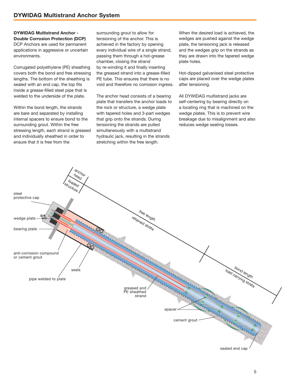**DYWIDAG Multistrand Anchor - Double Corrosion Protection (DCP)** DCP Anchors are used for permanent applications in aggressive or uncertain environments.

Corrugated polyethylene (PE) sheathing covers both the bond and free stressing lengths. The bottom of the sheathing is sealed with an end cap, the top fits inside a grease-filled steel pipe that is welded to the underside of the plate.

Within the bond length, the strands are bare and separated by installing internal spacers to ensure bond to the surrounding grout. Within the free stressing length, each strand is greased and individually sheathed in order to ensure that it is free from the

surrounding grout to allow for tensioning of the anchor. This is achieved in the factory by opening every individual wire of a single strand, passing them through a hot-grease chamber, closing the strand by re-winding it and finally inserting the greased strand into a grease-filled PE tube. This ensures that there is no void and therefore no corrosion ingress.

The anchor head consists of a bearing plate that transfers the anchor loads to the rock or structure, a wedge plate with tapered holes and 3-part wedges that grip onto the strands. During tensioning the strands are pulled simultaneously with a multistrand hydraulic jack, resulting in the strands stretching within the free length.

When the desired load is achieved, the wedges are pushed against the wedge plate, the tensioning jack is released and the wedges grip on the strands as they are drawn into the tapered wedge plate holes.

Hot-dipped galvanised steel protective caps are placed over the wedge plates after tensioning.

All DYWIDAG multistrand jacks are self-centering by bearing directly on a locating ring that is machined on the wedge plates. This is to prevent wire breakage due to misalignment and also reduces wedge seating losses.

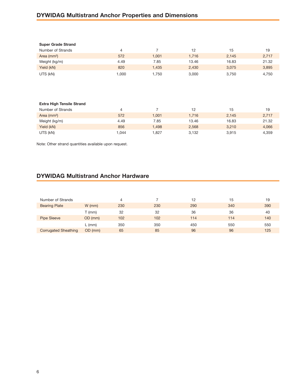# **DYWIDAG Multistrand Anchor Properties and Dimensions**

| <b>Super Grade Strand</b> |       |       |       |       |       |
|---------------------------|-------|-------|-------|-------|-------|
| Number of Strands         | 4     |       | 12    | 15    | 19    |
| Area $(mm2)$              | 572   | 1.001 | 1,716 | 2,145 | 2,717 |
| Weight (kg/m)             | 4.49  | 7.85  | 13.46 | 16.83 | 21.32 |
| Yield (kN)                | 820   | 1.435 | 2.430 | 3.075 | 3,895 |
| UTS (kN)                  | 000.1 | 1.750 | 3,000 | 3.750 | 4,750 |

### Extra High Tensile Strand Number of Strands 4 7 12 15 19 Area (mm²) 572 1,001 1,716 2,145 2,717 Weight (kg/m) 4.49 7.85 13.46 16.83 21.32 Yield (kN) 856 1,498 2,568 3,210 4,066 UTS (kN) 1,044 1,827 3,132 3,915 4,359

Note: Other strand quantities available upon request.

## **DYWIDAG Multistrand Anchor Hardware**

| Number of Strands    |          | 4   |     | 12  | 15  | 19  |
|----------------------|----------|-----|-----|-----|-----|-----|
| <b>Bearing Plate</b> | $W$ (mm) | 230 | 230 | 290 | 340 | 390 |
|                      | T (mm)   | 32  | 32  | 36  | 36  | 40  |
| <b>Pipe Sleeve</b>   | OD (mm)  | 102 | 102 | 114 | 114 | 140 |
|                      | $L$ (mm) | 350 | 350 | 450 | 550 | 550 |
| Corrugated Sheathing | OD (mm)  | 65  | 85  | 96  | 96  | 125 |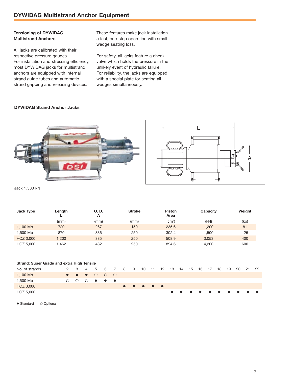#### **Tensioning of DYWIDAG Multistrand Anchors**

All jacks are calibrated with their respective pressure gauges. For installation and stressing efficiency, most DYWIDAG jacks for multistrand anchors are equipped with internal strand guide tubes and automatic strand gripping and releasing devices.

These features make jack installation a fast, one-step operation with small wedge seating loss.

For safety, all jacks feature a check valve which holds the pressure in the unlikely event of hydraulic failure. For reliability, the jacks are equipped with a special plate for seating all wedges simultaneously.

#### **DYWIDAG Strand Anchor Jacks**



Jack 1,500 kN

| Jack Type | Length | O. D.<br>A | <b>Stroke</b> | <b>Piston</b><br>Area | Capacity | Weight |
|-----------|--------|------------|---------------|-----------------------|----------|--------|
|           | (mm)   | (mm)       | (mm)          | $\rm (cm^2)$          | (kN)     | (kg)   |
| 1,100 Mp  | 720    | 267        | 150           | 235.6                 | 1.200    | 81     |
| 1,500 Mp  | 870    | 336        | 250           | 302.4                 | 1.500    | 125    |
| HOZ 3,000 | 1.200  | 385        | 250           | 508.9                 | 3.053    | 400    |
| HOZ 5,000 | 1.462  | 482        | 250           | 894.6                 | 4.200    | 600    |

| Strand: Super Grade and extra High Tensile |  |  |  |                                                       |  |                                            |  |  |                                                           |  |  |  |  |      |       |    |
|--------------------------------------------|--|--|--|-------------------------------------------------------|--|--------------------------------------------|--|--|-----------------------------------------------------------|--|--|--|--|------|-------|----|
| No. of strands                             |  |  |  |                                                       |  | 2 3 4 5 6 7 8 9 10 11 12 13 14 15 16 17 18 |  |  |                                                           |  |  |  |  | - 19 | 20 21 | 22 |
| 1,100 Mp                                   |  |  |  | $\bullet$ $\bullet$ $\bullet$ $\circ$ $\circ$ $\circ$ |  |                                            |  |  |                                                           |  |  |  |  |      |       |    |
| 1,500 Mp                                   |  |  |  | $O$ $O$ $O$ $\bullet$ $\bullet$ $\bullet$             |  |                                            |  |  |                                                           |  |  |  |  |      |       |    |
| HOZ 3,000                                  |  |  |  |                                                       |  |                                            |  |  | $\bullet\quad\bullet\quad\bullet\quad\bullet\quad\bullet$ |  |  |  |  |      |       |    |
| HOZ 5,000                                  |  |  |  |                                                       |  |                                            |  |  |                                                           |  |  |  |  |      | .     |    |

 $\bullet$  Standard  $\qquad$  Optional